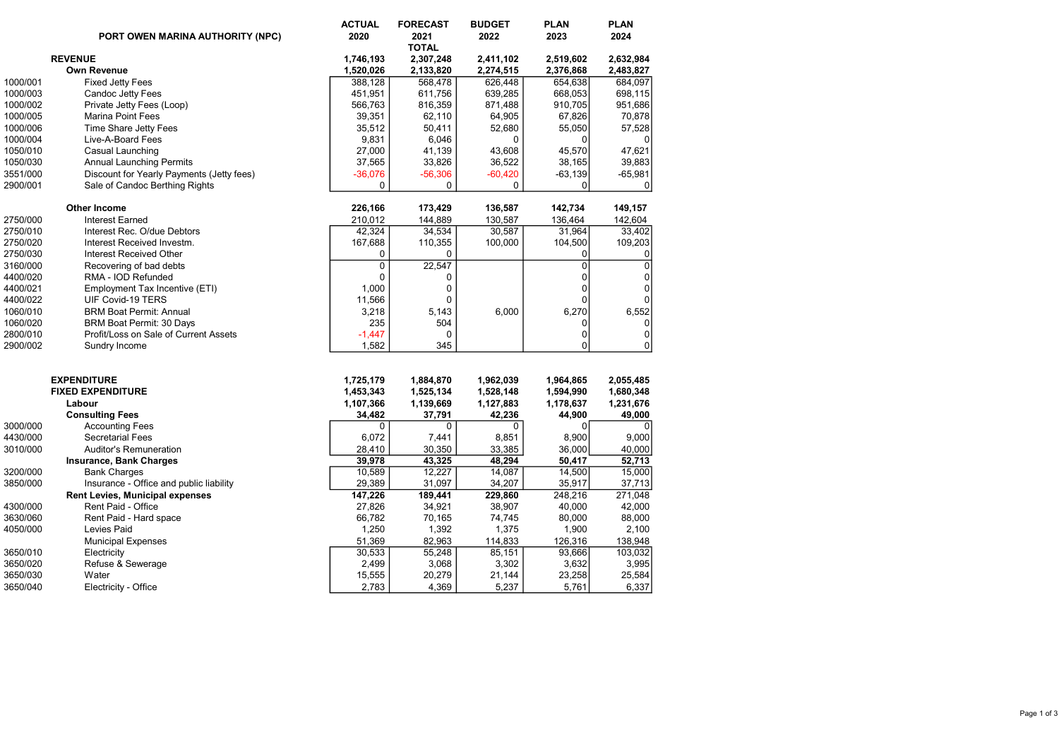|          | PORT OWEN MARINA AUTHORITY (NPC)          | <b>ACTUAL</b><br>2020 | <b>FORECAST</b><br>2021<br><b>TOTAL</b> | <b>BUDGET</b><br>2022 | <b>PLAN</b><br>2023 | <b>PLAN</b><br>2024 |
|----------|-------------------------------------------|-----------------------|-----------------------------------------|-----------------------|---------------------|---------------------|
|          | <b>REVENUE</b>                            | 1,746,193             | 2,307,248                               | 2,411,102             | 2,519,602           | 2,632,984           |
|          | Own Revenue                               | 1,520,026             | 2,133,820                               | 2,274,515             | 2,376,868           | 2,483,827           |
| 1000/001 | <b>Fixed Jetty Fees</b>                   | 388,128               | 568,478                                 | 626,448               | 654,638             | 684,097             |
| 1000/003 | <b>Candoc Jetty Fees</b>                  | 451,951               | 611,756                                 | 639,285               | 668,053             | 698,115             |
| 1000/002 | Private Jetty Fees (Loop)                 | 566,763               | 816,359                                 | 871,488               | 910,705             | 951,686             |
| 1000/005 | Marina Point Fees                         | 39,351                | 62,110                                  | 64,905                | 67,826              | 70,878              |
| 1000/006 | Time Share Jetty Fees                     | 35,512                | 50,411                                  | 52,680                | 55,050              | 57,528              |
| 1000/004 | Live-A-Board Fees                         | 9,831                 | 6,046                                   | $\mathbf 0$           | 0                   |                     |
| 1050/010 | Casual Launching                          | 27,000                | 41,139                                  | 43,608                | 45,570              | 47,621              |
| 1050/030 | <b>Annual Launching Permits</b>           | 37,565                | 33,826                                  | 36,522                | 38,165              | 39,883              |
| 3551/000 | Discount for Yearly Payments (Jetty fees) | $-36,076$             | $-56,306$                               | $-60,420$             | -63,139             | $-65,981$           |
| 2900/001 | Sale of Candoc Berthing Rights            | 0                     | 0                                       | $\mathbf 0$           | $\mathbf 0$         | 0                   |
|          | <b>Other Income</b>                       | 226,166               | 173,429                                 | 136,587               | 142,734             | 149,157             |
| 2750/000 | Interest Earned                           | 210,012               | 144,889                                 | 130,587               | 136,464             | 142,604             |
| 2750/010 | Interest Rec. O/due Debtors               | 42,324                | 34,534                                  | 30,587                | 31,964              | 33,402              |
| 2750/020 | Interest Received Investm.                | 167,688               | 110,355                                 | 100,000               | 104,500             | 109,203             |
| 2750/030 | Interest Received Other                   | 0                     | 0                                       |                       | 0                   |                     |
| 3160/000 | Recovering of bad debts                   | 0                     | 22,547                                  |                       | $\overline{0}$      | $\pmb{0}$           |
| 4400/020 | RMA - IOD Refunded                        | $\Omega$              | 0                                       |                       | $\Omega$            | 0                   |
| 4400/021 | Employment Tax Incentive (ETI)            | 1,000                 | $\mathbf 0$                             |                       | 0                   | $\pmb{0}$           |
| 4400/022 | UIF Covid-19 TERS                         | 11,566                | $\Omega$                                |                       | $\Omega$            | $\mathbf{0}$        |
| 1060/010 | <b>BRM Boat Permit: Annual</b>            | 3,218                 | 5,143                                   | 6,000                 | 6,270               | 6,552               |
| 1060/020 | BRM Boat Permit: 30 Days                  | 235                   | 504                                     |                       | 0                   | 0                   |
| 2800/010 | Profit/Loss on Sale of Current Assets     | $-1,447$              | $\mathbf 0$                             |                       | $\overline{0}$      | 0                   |
| 2900/002 | Sundry Income                             | 1,582                 | 345                                     |                       | $\Omega$            | $\mathbf 0$         |
|          | <b>EXPENDITURE</b>                        | 1,725,179             | 1,884,870                               | 1,962,039             | 1,964,865           | 2,055,485           |
|          | <b>FIXED EXPENDITURE</b>                  | 1,453,343             | 1,525,134                               | 1,528,148             | 1,594,990           | 1,680,348           |
|          | Labour                                    | 1,107,366             | 1,139,669                               | 1,127,883             | 1,178,637           | 1,231,676           |
|          | <b>Consulting Fees</b>                    | 34,482                | 37,791                                  | 42,236                | 44,900              | 49,000              |
| 3000/000 | <b>Accounting Fees</b>                    | 0                     | 0                                       | $\Omega$              | $\Omega$            |                     |
| 4430/000 | <b>Secretarial Fees</b>                   | 6,072                 | 7,441                                   | 8,851                 | 8,900               | 9,000               |
| 3010/000 | Auditor's Remuneration                    | 28,410                | 30,350                                  | 33,385                | 36,000              | 40,000              |
|          | <b>Insurance, Bank Charges</b>            | 39,978                | 43,325                                  | 48,294                | 50,417              | 52,713              |
| 3200/000 | <b>Bank Charges</b>                       | 10,589                | 12,227                                  | 14,087                | 14,500              | 15,000              |
| 3850/000 | Insurance - Office and public liability   | 29,389                | 31,097                                  | 34,207                | 35,917              | 37,713              |
|          | <b>Rent Levies, Municipal expenses</b>    | 147,226               | 189,441                                 | 229,860               | 248,216             | 271,048             |
| 4300/000 | Rent Paid - Office                        | 27,826                | 34,921                                  | 38,907                | 40,000              | 42,000              |
| 3630/060 | Rent Paid - Hard space                    | 66,782                | 70,165                                  | 74,745                | 80,000              | 88,000              |
| 4050/000 | Levies Paid                               | 1,250                 | 1,392                                   | 1,375                 | 1,900               | 2,100               |
|          | <b>Municipal Expenses</b>                 | 51,369                | 82,963                                  | 114,833               | 126,316             | 138,948             |
| 3650/010 | Electricity                               | 30,533                | 55,248                                  | 85,151                | 93,666              | 103,032             |
| 3650/020 | Refuse & Sewerage                         | 2,499                 | 3,068                                   | 3,302                 | 3,632               | 3,995               |
| 3650/030 | Water                                     | 15,555                | 20,279                                  | 21,144                | 23,258              | 25,584              |
| 3650/040 | Electricity - Office                      | 2,783                 | 4,369                                   | 5,237                 | 5,761               | 6,337               |
|          |                                           |                       |                                         |                       |                     |                     |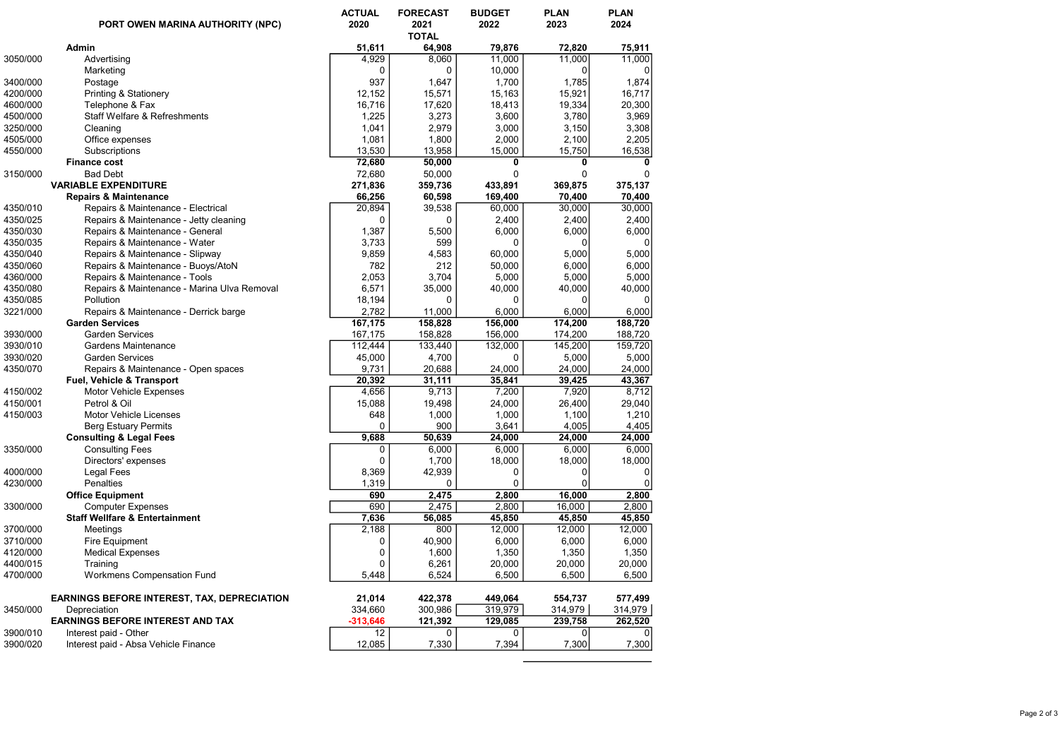|          | PORT OWEN MARINA AUTHORITY (NPC)                   | <b>ACTUAL</b><br>2020 | <b>FORECAST</b><br>2021<br><b>TOTAL</b> | <b>BUDGET</b><br>2022 | <b>PLAN</b><br>2023 | <b>PLAN</b><br>2024 |
|----------|----------------------------------------------------|-----------------------|-----------------------------------------|-----------------------|---------------------|---------------------|
|          | Admin                                              | 51,611                | 64,908                                  | 79,876                | 72,820              | 75,911              |
| 3050/000 | Advertising                                        | 4,929                 | 8,060                                   | 11,000                | 11,000              | 11,000              |
|          | Marketing                                          | 0                     | 0                                       | 10,000                | 0                   | 0                   |
| 3400/000 | Postage                                            | 937                   | 1,647                                   | 1,700                 | 1,785               | 1,874               |
| 4200/000 | Printing & Stationery                              | 12,152                | 15,571                                  | 15,163                | 15,921              | 16,717              |
| 4600/000 | Telephone & Fax                                    | 16,716                | 17,620                                  | 18,413                | 19,334              | 20,300              |
| 4500/000 | Staff Welfare & Refreshments                       | 1,225                 | 3,273                                   | 3,600                 | 3,780               | 3,969               |
| 3250/000 | Cleaning                                           | 1,041                 | 2,979                                   | 3,000                 | 3,150               | 3,308               |
| 4505/000 | Office expenses                                    | 1,081                 | 1,800                                   | 2,000                 | 2,100               | 2,205               |
| 4550/000 | Subscriptions                                      | 13,530                | 13,958                                  | 15,000                | 15,750              | 16,538              |
|          | <b>Finance cost</b>                                | 72,680                | 50,000                                  | 0                     | 0                   | 0                   |
| 3150/000 | <b>Bad Debt</b>                                    | 72,680                | 50,000                                  | 0                     | $\Omega$            | 0                   |
|          | <b>VARIABLE EXPENDITURE</b>                        | 271,836               | 359,736                                 | 433,891               | 369,875             | 375,137             |
|          | <b>Repairs &amp; Maintenance</b>                   | 66,256                | 60,598                                  | 169,400               | 70,400              | 70,400              |
| 4350/010 | Repairs & Maintenance - Electrical                 | 20,894                | 39,538                                  | 60,000                | 30,000              | 30,000              |
| 4350/025 | Repairs & Maintenance - Jetty cleaning             | 0                     | 0                                       | 2,400                 | 2,400               | 2,400               |
| 4350/030 | Repairs & Maintenance - General                    | 1,387                 | 5,500                                   | 6,000                 | 6,000               | 6,000               |
| 4350/035 | Repairs & Maintenance - Water                      | 3,733                 | 599                                     | 0                     |                     | 0                   |
| 4350/040 | Repairs & Maintenance - Slipway                    | 9,859                 | 4,583                                   | 60,000                | 5,000               | 5,000               |
| 4350/060 | Repairs & Maintenance - Buoys/AtoN                 | 782                   | 212                                     | 50,000                | 6,000               | 6,000               |
| 4360/000 | Repairs & Maintenance - Tools                      | 2,053                 | 3,704                                   | 5,000                 | 5,000               | 5,000               |
| 4350/080 | Repairs & Maintenance - Marina Ulva Removal        | 6,571                 | 35,000                                  | 40,000                | 40,000              | 40,000              |
| 4350/085 | Pollution                                          | 18,194                | 0                                       | 0                     | 0                   | 0                   |
| 3221/000 | Repairs & Maintenance - Derrick barge              | 2,782                 | 11,000                                  | 6,000                 | 6,000               | 6,000               |
|          | <b>Garden Services</b>                             | 167,175               | 158,828                                 | 156,000               | 174,200             | 188,720             |
| 3930/000 | <b>Garden Services</b>                             | 167,175               | 158,828                                 | 156,000               | 174,200             | 188,720             |
| 3930/010 | Gardens Maintenance                                | 112,444               | 133,440                                 | 132,000               | 145,200             | 159,720             |
| 3930/020 | <b>Garden Services</b>                             | 45,000                | 4,700                                   | 0                     | 5,000               | 5,000               |
| 4350/070 | Repairs & Maintenance - Open spaces                | 9,731                 | 20,688                                  | 24,000                | 24,000              | 24,000              |
|          | Fuel, Vehicle & Transport                          | 20,392                | 31,111                                  | 35,841                | 39,425              | 43,367              |
| 4150/002 | Motor Vehicle Expenses                             | 4,656                 | 9,713                                   | 7,200                 | 7,920               | 8,712               |
| 4150/001 | Petrol & Oil                                       | 15,088                | 19,498                                  | 24,000                | 26,400              | 29,040              |
| 4150/003 | Motor Vehicle Licenses                             | 648                   | 1,000                                   | 1,000                 | 1,100               | 1,210               |
|          | <b>Berg Estuary Permits</b>                        | 0                     | 900                                     | 3,641                 | 4,005               | 4,405               |
|          | <b>Consulting &amp; Legal Fees</b>                 | 9,688                 | 50,639                                  | 24,000                | 24,000              | 24,000              |
| 3350/000 | <b>Consulting Fees</b>                             | 0                     | 6,000                                   | 6,000                 | 6,000               | 6,000               |
|          | Directors' expenses                                | $\mathbf 0$           | 1,700                                   | 18,000                | 18,000              | 18,000              |
| 4000/000 | Legal Fees                                         | 8,369                 | 42,939                                  | 0                     | 0                   | 0                   |
| 4230/000 | Penalties                                          | 1,319                 | 0                                       | 0                     | $\Omega$            | 0                   |
|          | <b>Office Equipment</b>                            | 690                   | 2,475                                   | 2,800                 | 16,000              | 2,800               |
| 3300/000 | <b>Computer Expenses</b>                           | 690                   | 2,475                                   | 2,800                 | 16,000              | 2,800               |
|          | <b>Staff Wellfare &amp; Entertainment</b>          | 7,636                 | 56,085                                  | 45,850                | 45,850              | 45,850              |
| 3700/000 | Meetings                                           | 2,188                 | 800                                     | 12,000                | 12,000              | 12,000              |
| 3710/000 | Fire Equipment                                     | 0                     | 40,900                                  | 6,000                 | 6,000               | 6,000               |
| 4120/000 | <b>Medical Expenses</b>                            | $\Omega$              | 1,600                                   | 1,350                 | 1,350               | 1,350               |
| 4400/015 | Training                                           | 0                     | 6,261                                   | 20,000                | 20,000              | 20,000              |
| 4700/000 | <b>Workmens Compensation Fund</b>                  | 5,448                 | 6,524                                   | 6,500                 | 6,500               | 6,500               |
|          |                                                    |                       |                                         |                       |                     |                     |
|          | <b>EARNINGS BEFORE INTEREST, TAX, DEPRECIATION</b> | 21,014                | 422,378                                 | 449,064               | 554,737             | 577,499             |
| 3450/000 | Depreciation                                       | 334,660               | 300,986                                 | 319,979               | 314,979             | 314,979             |
|          | <b>EARNINGS BEFORE INTEREST AND TAX</b>            | $-313,646$            | 121,392                                 | 129,085               | 239,758             | 262,520             |
| 3900/010 | Interest paid - Other                              | 12                    | 0                                       | 0                     | 0                   | 0                   |
| 3900/020 | Interest paid - Absa Vehicle Finance               | 12,085                | 7,330                                   | 7,394                 | 7,300               | 7,300               |
|          |                                                    |                       |                                         |                       |                     |                     |